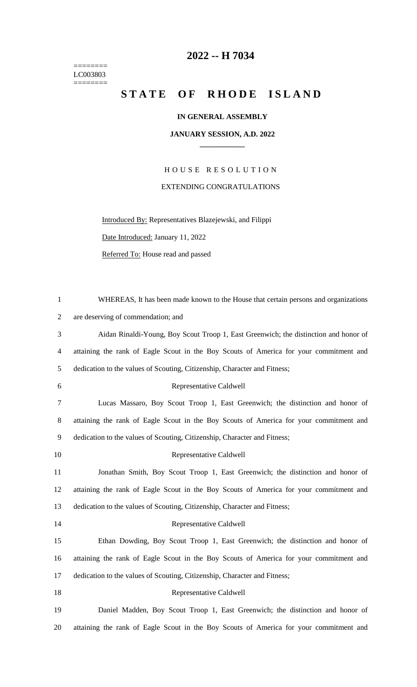======== LC003803  $=$ 

## **2022 -- H 7034**

## STATE OF RHODE ISLAND

## **IN GENERAL ASSEMBLY**

## **JANUARY SESSION, A.D. 2022 \_\_\_\_\_\_\_\_\_\_\_\_**

H O U S E R E S O L U T I O N EXTENDING CONGRATULATIONS

Introduced By: Representatives Blazejewski, and Filippi

Date Introduced: January 11, 2022

Referred To: House read and passed

| $\mathbf{1}$   | WHEREAS, It has been made known to the House that certain persons and organizations    |
|----------------|----------------------------------------------------------------------------------------|
| 2              | are deserving of commendation; and                                                     |
| 3              | Aidan Rinaldi-Young, Boy Scout Troop 1, East Greenwich; the distinction and honor of   |
| $\overline{4}$ | attaining the rank of Eagle Scout in the Boy Scouts of America for your commitment and |
| 5              | dedication to the values of Scouting, Citizenship, Character and Fitness;              |
| $6\,$          | Representative Caldwell                                                                |
| 7              | Lucas Massaro, Boy Scout Troop 1, East Greenwich; the distinction and honor of         |
| $8\,$          | attaining the rank of Eagle Scout in the Boy Scouts of America for your commitment and |
| 9              | dedication to the values of Scouting, Citizenship, Character and Fitness;              |
| 10             | Representative Caldwell                                                                |
| 11             | Jonathan Smith, Boy Scout Troop 1, East Greenwich; the distinction and honor of        |
| 12             | attaining the rank of Eagle Scout in the Boy Scouts of America for your commitment and |
| 13             | dedication to the values of Scouting, Citizenship, Character and Fitness;              |
| 14             | Representative Caldwell                                                                |
| 15             | Ethan Dowding, Boy Scout Troop 1, East Greenwich; the distinction and honor of         |
| 16             | attaining the rank of Eagle Scout in the Boy Scouts of America for your commitment and |
| 17             | dedication to the values of Scouting, Citizenship, Character and Fitness;              |
| 18             | Representative Caldwell                                                                |
| 19             | Daniel Madden, Boy Scout Troop 1, East Greenwich; the distinction and honor of         |
| 20             | attaining the rank of Eagle Scout in the Boy Scouts of America for your commitment and |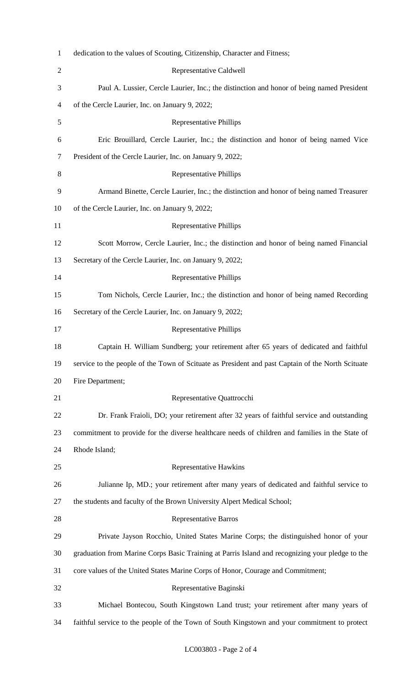| $\mathbf{1}$   | dedication to the values of Scouting, Citizenship, Character and Fitness;                         |
|----------------|---------------------------------------------------------------------------------------------------|
| $\overline{c}$ | Representative Caldwell                                                                           |
| 3              | Paul A. Lussier, Cercle Laurier, Inc.; the distinction and honor of being named President         |
| 4              | of the Cercle Laurier, Inc. on January 9, 2022;                                                   |
| 5              | <b>Representative Phillips</b>                                                                    |
| 6              | Eric Brouillard, Cercle Laurier, Inc.; the distinction and honor of being named Vice              |
| 7              | President of the Cercle Laurier, Inc. on January 9, 2022;                                         |
| 8              | <b>Representative Phillips</b>                                                                    |
| 9              | Armand Binette, Cercle Laurier, Inc.; the distinction and honor of being named Treasurer          |
| 10             | of the Cercle Laurier, Inc. on January 9, 2022;                                                   |
| 11             | <b>Representative Phillips</b>                                                                    |
| 12             | Scott Morrow, Cercle Laurier, Inc.; the distinction and honor of being named Financial            |
| 13             | Secretary of the Cercle Laurier, Inc. on January 9, 2022;                                         |
| 14             | <b>Representative Phillips</b>                                                                    |
| 15             | Tom Nichols, Cercle Laurier, Inc.; the distinction and honor of being named Recording             |
| 16             | Secretary of the Cercle Laurier, Inc. on January 9, 2022;                                         |
| 17             | <b>Representative Phillips</b>                                                                    |
| 18             | Captain H. William Sundberg; your retirement after 65 years of dedicated and faithful             |
| 19             | service to the people of the Town of Scituate as President and past Captain of the North Scituate |
| 20             | Fire Department;                                                                                  |
| 21             | Representative Quattrocchi                                                                        |
| 22             | Dr. Frank Fraioli, DO; your retirement after 32 years of faithful service and outstanding         |
| 23             | commitment to provide for the diverse healthcare needs of children and families in the State of   |
| 24             | Rhode Island;                                                                                     |
| 25             | Representative Hawkins                                                                            |
| 26             | Julianne Ip, MD.; your retirement after many years of dedicated and faithful service to           |
| 27             | the students and faculty of the Brown University Alpert Medical School;                           |
| 28             | <b>Representative Barros</b>                                                                      |
| 29             | Private Jayson Rocchio, United States Marine Corps; the distinguished honor of your               |
| 30             | graduation from Marine Corps Basic Training at Parris Island and recognizing your pledge to the   |
| 31             | core values of the United States Marine Corps of Honor, Courage and Commitment;                   |
| 32             | Representative Baginski                                                                           |
| 33             | Michael Bontecou, South Kingstown Land trust; your retirement after many years of                 |
| 34             | faithful service to the people of the Town of South Kingstown and your commitment to protect      |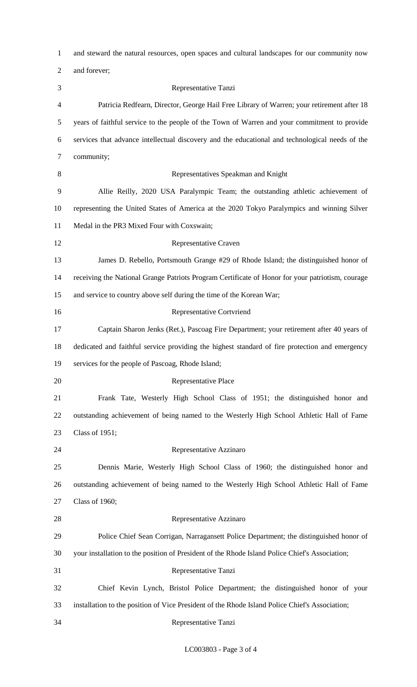| $\mathbf{1}$   | and steward the natural resources, open spaces and cultural landscapes for our community now     |
|----------------|--------------------------------------------------------------------------------------------------|
| $\overline{2}$ | and forever;                                                                                     |
| 3              | Representative Tanzi                                                                             |
| 4              | Patricia Redfearn, Director, George Hail Free Library of Warren; your retirement after 18        |
| 5              | years of faithful service to the people of the Town of Warren and your commitment to provide     |
| 6              | services that advance intellectual discovery and the educational and technological needs of the  |
| 7              | community;                                                                                       |
| 8              | Representatives Speakman and Knight                                                              |
| 9              | Allie Reilly, 2020 USA Paralympic Team; the outstanding athletic achievement of                  |
| 10             | representing the United States of America at the 2020 Tokyo Paralympics and winning Silver       |
| 11             | Medal in the PR3 Mixed Four with Coxswain;                                                       |
| 12             | Representative Craven                                                                            |
| 13             | James D. Rebello, Portsmouth Grange #29 of Rhode Island; the distinguished honor of              |
| 14             | receiving the National Grange Patriots Program Certificate of Honor for your patriotism, courage |
| 15             | and service to country above self during the time of the Korean War;                             |
| 16             | <b>Representative Cortvriend</b>                                                                 |
| 17             | Captain Sharon Jenks (Ret.), Pascoag Fire Department; your retirement after 40 years of          |
| 18             | dedicated and faithful service providing the highest standard of fire protection and emergency   |
| 19             | services for the people of Pascoag, Rhode Island;                                                |
| 20             | Representative Place                                                                             |
| 21             | Frank Tate, Westerly High School Class of 1951; the distinguished honor and                      |
| 22             | outstanding achievement of being named to the Westerly High School Athletic Hall of Fame         |
| 23             | Class of 1951;                                                                                   |
| 24             | Representative Azzinaro                                                                          |
| 25             | Dennis Marie, Westerly High School Class of 1960; the distinguished honor and                    |
| 26             | outstanding achievement of being named to the Westerly High School Athletic Hall of Fame         |
| 27             | <b>Class of 1960;</b>                                                                            |
| 28             | Representative Azzinaro                                                                          |
| 29             | Police Chief Sean Corrigan, Narragansett Police Department; the distinguished honor of           |
| 30             | your installation to the position of President of the Rhode Island Police Chief's Association;   |
| 31             | Representative Tanzi                                                                             |
| 32             | Chief Kevin Lynch, Bristol Police Department; the distinguished honor of your                    |
| 33             | installation to the position of Vice President of the Rhode Island Police Chief's Association;   |
| 34             | Representative Tanzi                                                                             |